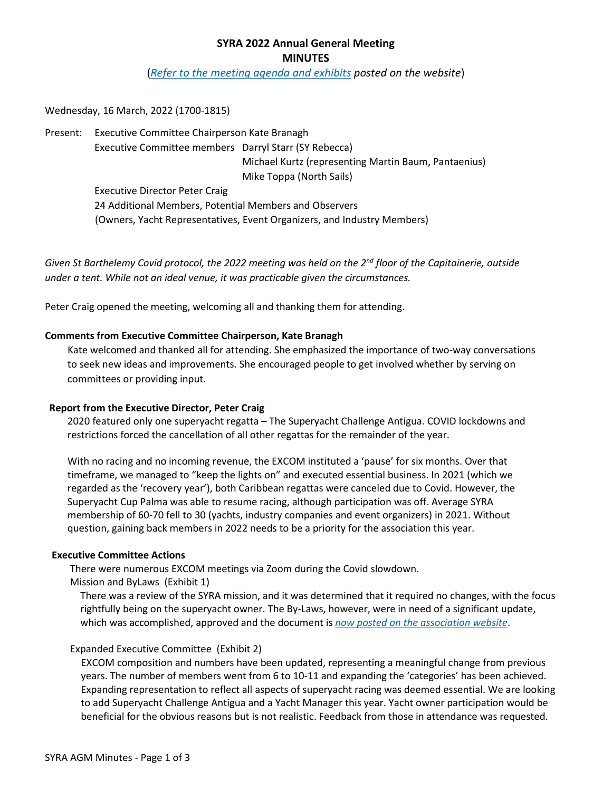# **SYRA 2022 Annual General Meeting MINUTES**

(*Refer to [the meeting agenda](https://superyra.org/member-meetings/) and exhibits posted on the website*)

Wednesday, 16 March, 2022 (1700-1815)

Present: Executive Committee Chairperson Kate Branagh

Executive Committee members Darryl Starr (SY Rebecca) Michael Kurtz (representing Martin Baum, Pantaenius) Mike Toppa (North Sails)

Executive Director Peter Craig 24 Additional Members, Potential Members and Observers (Owners, Yacht Representatives, Event Organizers, and Industry Members)

*Given St Barthelemy Covid protocol, the 2022 meeting was held on the 2nd floor of the Capitainerie, outside under a tent. While not an ideal venue, it was practicable given the circumstances.*

Peter Craig opened the meeting, welcoming all and thanking them for attending.

# **Comments from Executive Committee Chairperson, Kate Branagh**

Kate welcomed and thanked all for attending. She emphasized the importance of two-way conversations to seek new ideas and improvements. She encouraged people to get involved whether by serving on committees or providing input.

### **Report from the Executive Director, Peter Craig**

2020 featured only one superyacht regatta – The Superyacht Challenge Antigua. COVID lockdowns and restrictions forced the cancellation of all other regattas for the remainder of the year.

With no racing and no incoming revenue, the EXCOM instituted a 'pause' for six months. Over that timeframe, we managed to "keep the lights on" and executed essential business. In 2021 (which we regarded as the 'recovery year'), both Caribbean regattas were canceled due to Covid. However, the Superyacht Cup Palma was able to resume racing, although participation was off. Average SYRA membership of 60-70 fell to 30 (yachts, industry companies and event organizers) in 2021. Without question, gaining back members in 2022 needs to be a priority for the association this year.

### **Executive Committee Actions**

There were numerous EXCOM meetings via Zoom during the Covid slowdown.

Mission and ByLaws (Exhibit 1)

There was a review of the SYRA mission, and it was determined that it required no changes, with the focus rightfully being on the superyacht owner. The By-Laws, however, were in need of a significant update, which was accomplished, approved and the document is *[now posted on the association website](https://superyra.org/wp-content/uploads/2022/03/2022-SYRA-AGM-Exh-1-Bylaws.pdf)*.

### Expanded Executive Committee (Exhibit 2)

EXCOM composition and numbers have been updated, representing a meaningful change from previous years. The number of members went from 6 to 10-11 and expanding the 'categories' has been achieved. Expanding representation to reflect all aspects of superyacht racing was deemed essential. We are looking to add Superyacht Challenge Antigua and a Yacht Manager this year. Yacht owner participation would be beneficial for the obvious reasons but is not realistic. Feedback from those in attendance was requested.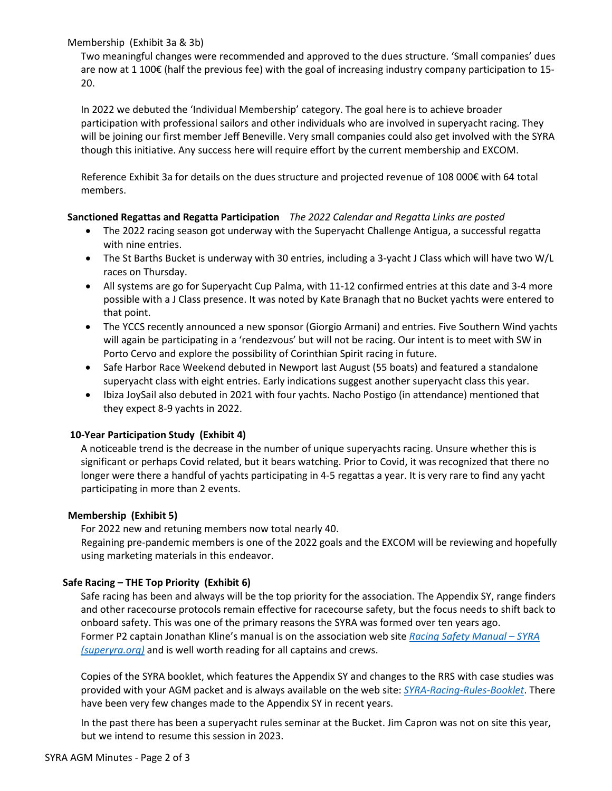### Membership (Exhibit 3a & 3b)

Two meaningful changes were recommended and approved to the dues structure. 'Small companies' dues are now at 1 100€ (half the previous fee) with the goal of increasing industry company participation to 15- 20.

In 2022 we debuted the 'Individual Membership' category. The goal here is to achieve broader participation with professional sailors and other individuals who are involved in superyacht racing. They will be joining our first member Jeff Beneville. Very small companies could also get involved with the SYRA though this initiative. Any success here will require effort by the current membership and EXCOM.

Reference Exhibit 3a for details on the dues structure and projected revenue of 108 000€ with 64 total members.

# **Sanctioned Regattas and Regatta Participation** *The 2022 Calendar and Regatta Links are poste[d](https://superyra.org/superyacht-regattas/)*

- The 2022 racing season got underway with the Superyacht Challenge Antigua, a successful regatta with nine entries.
- The St Barths Bucket is underway with 30 entries, including a 3-yacht J Class which will have two W/L races on Thursday.
- All systems are go for Superyacht Cup Palma, with 11-12 confirmed entries at this date and 3-4 more possible with a J Class presence. It was noted by Kate Branagh that no Bucket yachts were entered to that point.
- The YCCS recently announced a new sponsor (Giorgio Armani) and entries. Five Southern Wind yachts will again be participating in a 'rendezvous' but will not be racing. Our intent is to meet with SW in Porto Cervo and explore the possibility of Corinthian Spirit racing in future.
- Safe Harbor Race Weekend debuted in Newport last August (55 boats) and featured a standalone superyacht class with eight entries. Early indications suggest another superyacht class this year.
- Ibiza JoySail also debuted in 2021 with four yachts. Nacho Postigo (in attendance) mentioned that they expect 8-9 yachts in 2022.

# **10-Year Participation Study (Exhibit 4)**

A noticeable trend is the decrease in the number of unique superyachts racing. Unsure whether this is significant or perhaps Covid related, but it bears watching. Prior to Covid, it was recognized that there no longer were there a handful of yachts participating in 4-5 regattas a year. It is very rare to find any yacht participating in more than 2 events.

### **Membership (Exhibit 5)**

For 2022 new and retuning members now total nearly 40.

Regaining pre-pandemic members is one of the 2022 goals and the EXCOM will be reviewing and hopefully using marketing materials in this endeavor.

# **Safe Racing – THE Top Priority (Exhibit 6)**

Safe racing has been and always will be the top priority for the association. The Appendix SY, range finders and other racecourse protocols remain effective for racecourse safety, but the focus needs to shift back to onboard safety. This was one of the primary reasons the SYRA was formed over ten years ago. Former P2 captain Jonathan Kline's manual is on the association web site *[Racing Safety Manual – SYRA](https://superyra.org/racing-safety-manual/)  [\(superyra.org\)](https://superyra.org/racing-safety-manual/)* and is well worth reading for all captains and crews.

Copies of the SYRA booklet, which features the Appendix SY and changes to the RRS with case studies was provided with your AGM packet and is always available on the web site: *[SYRA-Racing-Rules-Booklet](https://superyra.org/wp-content/uploads/2022/01/SYRA-Racing-Rules-Booklet-Version-7.0_May_2021.pdf)*. There have been very few changes made to the Appendix SY in recent years.

In the past there has been a superyacht rules seminar at the Bucket. Jim Capron was not on site this year, but we intend to resume this session in 2023.